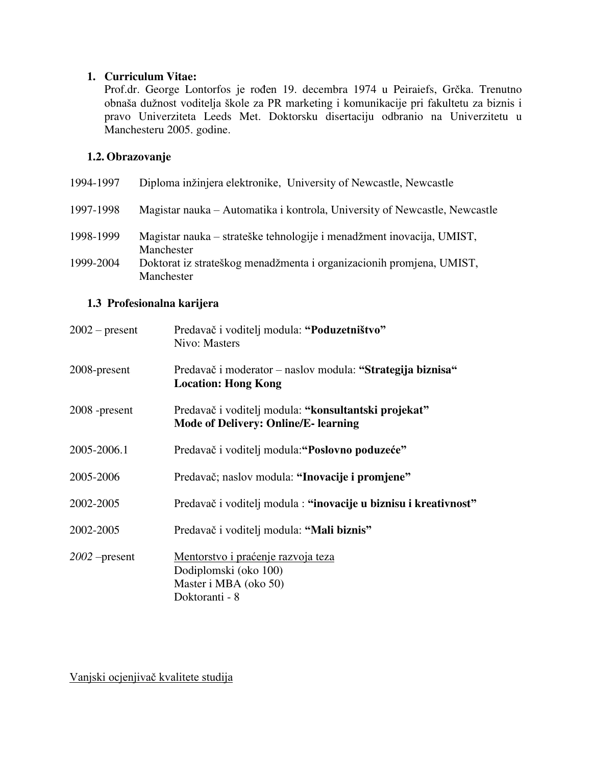#### **1. Curriculum Vitae:**

Prof.dr. George Lontorfos je rođen 19. decembra 1974 u Peiraiefs, Grčka. Trenutno obnaša dužnost voditelja škole za PR marketing i komunikacije pri fakultetu za biznis i pravo Univerziteta Leeds Met. Doktorsku disertaciju odbranio na Univerzitetu u Manchesteru 2005. godine.

# **1.2. Obrazovanje**

| 1994-1997 | Diploma inžinjera elektronike, University of Newcastle, Newcastle                   |
|-----------|-------------------------------------------------------------------------------------|
| 1997-1998 | Magistar nauka – Automatika i kontrola, University of Newcastle, Newcastle          |
| 1998-1999 | Magistar nauka – strateške tehnologije i menadžment inovacija, UMIST,<br>Manchester |
| 1999-2004 | Doktorat iz strateškog menadžmenta i organizacionih promjena, UMIST,<br>Manchester  |

#### **1.3 Profesionalna karijera**

| $2002$ – present | Predavač i voditelj modula: "Poduzetništvo"<br>Nivo: Masters                                                  |
|------------------|---------------------------------------------------------------------------------------------------------------|
| 2008-present     | Predavač i moderator – naslov modula: "Strategija biznisa"<br><b>Location: Hong Kong</b>                      |
| 2008 -present    | Predavač i voditelj modula: "konsultantski projekat"<br><b>Mode of Delivery: Online/E- learning</b>           |
| 2005-2006.1      | Predavač i voditelj modula: "Poslovno poduzeće"                                                               |
| 2005-2006        | Predavač; naslov modula: "Inovacije i promjene"                                                               |
| 2002-2005        | Predavač i voditelj modula: "inovacije u biznisu i kreativnost"                                               |
| 2002-2005        | Predavač i voditelj modula: "Mali biznis"                                                                     |
| $2002$ -present  | <u>Mentorstvo i praćenje razvoja teza</u><br>Dodiplomski (oko 100)<br>Master i MBA (oko 50)<br>Doktoranti - 8 |

Vanjski ocjenjivač kvalitete studija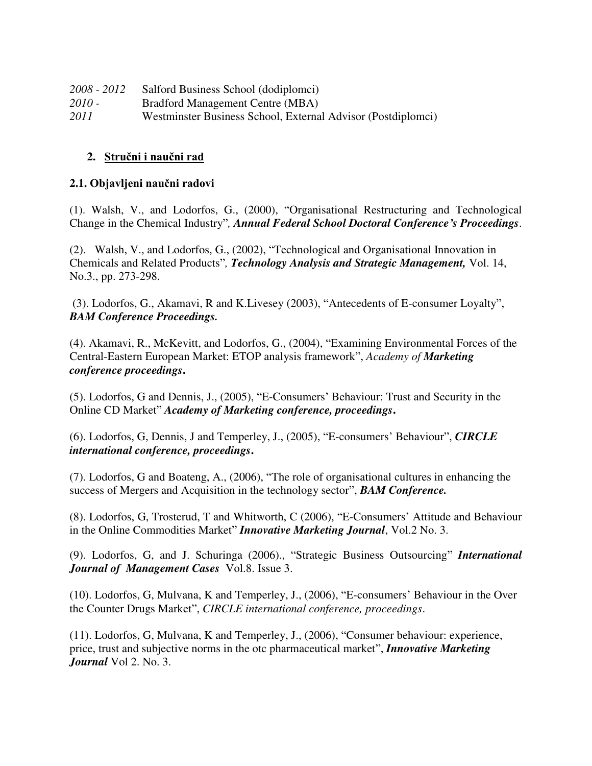| 2008 - 2012 | Salford Business School (dodiplomei)                         |
|-------------|--------------------------------------------------------------|
| 2010 -      | <b>Bradford Management Centre (MBA)</b>                      |
| 2011        | Westminster Business School, External Advisor (Postdiplomei) |

### **2. Stručni i naučni rad**

### **2.1. Objavljeni naučni radovi**

(1). Walsh, V., and Lodorfos, G., (2000), "Organisational Restructuring and Technological Change in the Chemical Industry"*, Annual Federal School Doctoral Conference's Proceedings*.

(2). Walsh, V., and Lodorfos, G., (2002), "Technological and Organisational Innovation in Chemicals and Related Products"*, Technology Analysis and Strategic Management,* Vol. 14, No.3., pp. 273-298.

 (3). Lodorfos, G., Akamavi, R and K.Livesey (2003), "Antecedents of E-consumer Loyalty", *BAM Conference Proceedings.*

(4). Akamavi, R., McKevitt, and Lodorfos, G., (2004), "Examining Environmental Forces of the Central-Eastern European Market: ETOP analysis framework", *Academy of Marketing conference proceedings***.**

(5). Lodorfos, G and Dennis, J., (2005), "E-Consumers' Behaviour: Trust and Security in the Online CD Market" *Academy of Marketing conference, proceedings***.**

(6). Lodorfos, G, Dennis, J and Temperley, J., (2005), "E-consumers' Behaviour", *CIRCLE international conference, proceedings***.**

(7). Lodorfos, G and Boateng, A., (2006), "The role of organisational cultures in enhancing the success of Mergers and Acquisition in the technology sector", *BAM Conference.*

(8). Lodorfos, G, Trosterud, T and Whitworth, C (2006), "E-Consumers' Attitude and Behaviour in the Online Commodities Market" *Innovative Marketing Journal*, Vol.2 No. 3.

(9). Lodorfos, G, and J. Schuringa (2006)., "Strategic Business Outsourcing" *International Journal of Management Cases* Vol.8. Issue 3.

(10). Lodorfos, G, Mulvana, K and Temperley, J., (2006), "E-consumers' Behaviour in the Over the Counter Drugs Market", *CIRCLE international conference, proceedings*.

(11). Lodorfos, G, Mulvana, K and Temperley, J., (2006), "Consumer behaviour: experience, price, trust and subjective norms in the otc pharmaceutical market", *Innovative Marketing Journal* Vol 2. No. 3.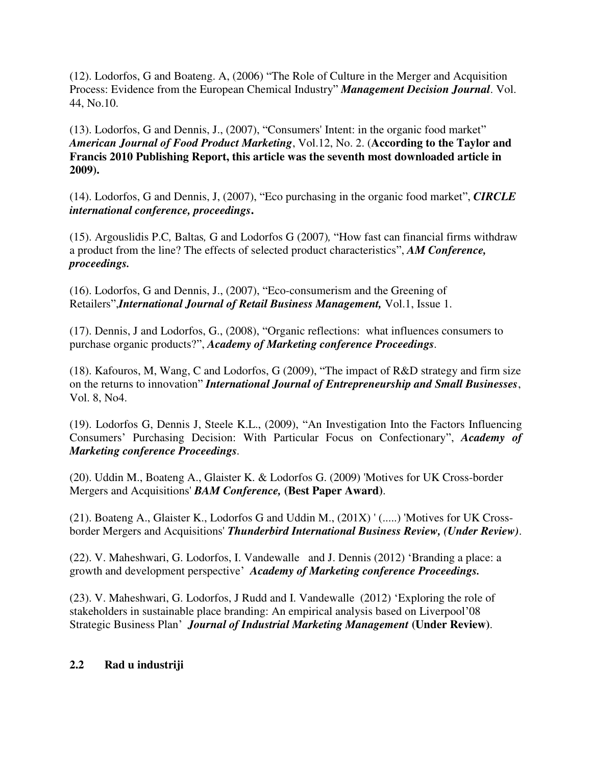(12). Lodorfos, G and Boateng. A, (2006) "The Role of Culture in the Merger and Acquisition Process: Evidence from the European Chemical Industry" *Management Decision Journal*. Vol. 44, No.10.

(13). Lodorfos, G and Dennis, J., (2007), "Consumers' Intent: in the organic food market" *American Journal of Food Product Marketing*, Vol.12, No. 2. (**According to the Taylor and Francis 2010 Publishing Report, this article was the seventh most downloaded article in 2009).** 

(14). Lodorfos, G and Dennis, J, (2007), "Eco purchasing in the organic food market", *CIRCLE international conference, proceedings***.**

(15). Argouslidis P.C*,* Baltas*,* G and Lodorfos G (2007)*,* "How fast can financial firms withdraw a product from the line? The effects of selected product characteristics", *AM Conference, proceedings.*

(16). Lodorfos, G and Dennis, J., (2007), "Eco-consumerism and the Greening of Retailers",*International Journal of Retail Business Management,* Vol.1, Issue 1.

(17). Dennis, J and Lodorfos, G., (2008), "Organic reflections: what influences consumers to purchase organic products?", *Academy of Marketing conference Proceedings.*

(18). Kafouros, M, Wang, C and Lodorfos, G (2009), "The impact of R&D strategy and firm size on the returns to innovation" *International Journal of Entrepreneurship and Small Businesses*, Vol. 8, No4.

(19). Lodorfos G, Dennis J, Steele K.L., (2009), "An Investigation Into the Factors Influencing Consumers' Purchasing Decision: With Particular Focus on Confectionary", *Academy of Marketing conference Proceedings.* 

(20). Uddin M., Boateng A., Glaister K. & Lodorfos G. (2009) 'Motives for UK Cross-border Mergers and Acquisitions' *BAM Conference,* **(Best Paper Award)**.

(21). Boateng A., Glaister K., Lodorfos G and Uddin M., (201X) ' (.....) 'Motives for UK Crossborder Mergers and Acquisitions' *Thunderbird International Business Review, (Under Review)*.

(22). V. Maheshwari, G. Lodorfos, I. Vandewalle and J. Dennis (2012) 'Branding a place: a growth and development perspective' *Academy of Marketing conference Proceedings.* 

(23). V. Maheshwari, G. Lodorfos, J Rudd and I. Vandewalle (2012) 'Exploring the role of stakeholders in sustainable place branding: An empirical analysis based on Liverpool'08 Strategic Business Plan' *Journal of Industrial Marketing Management* **(Under Review)**.

## **2.2 Rad u industriji**